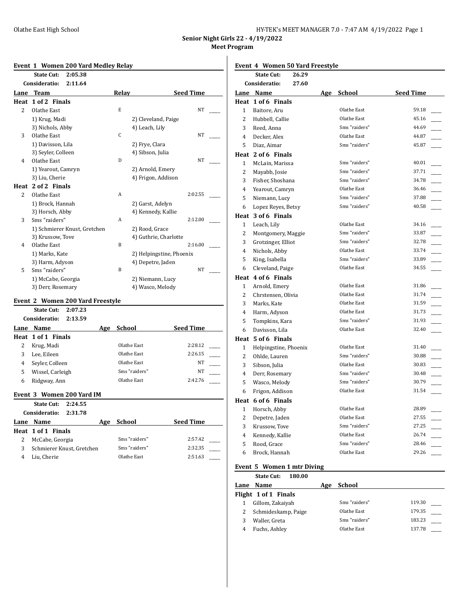| HY-TEK's MEET MANAGER 7.0 - 7:47 AM 4/19/2022 Page 1 |  |
|------------------------------------------------------|--|
|------------------------------------------------------|--|

**Senior Night Girls 22 - 4/19/2022 Meet Program**

#### **Event 1 Women 200 Yard Medley Relay**

|                | <b>State Cut:</b><br>2:05.38 |       |                          |
|----------------|------------------------------|-------|--------------------------|
|                | Consideratio:<br>2:11.64     |       |                          |
| Lane           | <b>Team</b>                  | Relay | <b>Seed Time</b>         |
| Heat           | 1 of 2 Finals                |       |                          |
| $\overline{2}$ | Olathe East                  | E     | <b>NT</b>                |
|                | 1) Krug, Madi                |       | 2) Cleveland, Paige      |
|                | 3) Nichols, Abby             |       | 4) Leach, Lily           |
| 3              | Olathe East                  | C     | <b>NT</b>                |
|                | 1) Davisson, Lila            |       | 2) Frye, Clara           |
|                | 3) Seyler, Colleen           |       | 4) Sibson, Julia         |
| $\overline{4}$ | Olathe East                  | D     | <b>NT</b>                |
|                | 1) Yearout, Camryn           |       | 2) Arnold, Emery         |
|                | 3) Liu, Cherie               |       | 4) Frigon, Addison       |
| Heat           | 2 of 2 Finals                |       |                          |
| 2              | Olathe East                  | A     | 2:02.55                  |
|                | 1) Brock, Hannah             |       | 2) Garst, Adelyn         |
|                | 3) Horsch, Abby              |       | 4) Kennedy, Kallie       |
| 3              | Sms "raiders"                | A     | 2:12.00                  |
|                | 1) Schmierer Knust, Gretchen |       | 2) Rood, Grace           |
|                | 3) Krussow, Tove             |       | 4) Guthrie, Charlotte    |
| $\overline{4}$ | Olathe East                  | B     | 2:16.00                  |
|                | 1) Marks, Kate               |       | 2) Helpingstine, Phoenix |
|                | 3) Harm, Adyson              |       | 4) Depetre, Jaden        |
| 5              | Sms "raiders"                | B     | <b>NT</b>                |
|                | 1) McCabe, Georgia           |       | 2) Niemann, Lucy         |
|                | 3) Derr, Rosemary            |       | 4) Wasco, Melody         |

## **Event 2 Women 200 Yard Freestyle**

|      | State Cut:<br>2:07.23<br>2:13.59<br>Consideratio: |     |               |                  |
|------|---------------------------------------------------|-----|---------------|------------------|
| Lane | Name                                              | Age | <b>School</b> | <b>Seed Time</b> |
|      | Heat 1 of 1 Finals                                |     |               |                  |
| 2    | Krug, Madi                                        |     | Olathe East   | 2:28.12          |
| 3    | Lee, Eileen                                       |     | Olathe East   | 2:26.15          |
| 4    | Seyler, Colleen                                   |     | Olathe East   | NT               |
| 5    | Wissel, Carleigh                                  |     | Sms "raiders" | NT               |
| 6    | Ridgway, Ann                                      |     | Olathe East   | 2:42.76          |

#### **Event 3 Women 200 Yard IM**

|   | State Cut: 2:24.55        |     |               |                  |
|---|---------------------------|-----|---------------|------------------|
|   | 2:31.78<br>Consideratio:  |     |               |                  |
|   | Lane Name                 | Age | School        | <b>Seed Time</b> |
|   | Heat 1 of 1 Finals        |     |               |                  |
| 2 | McCabe, Georgia           |     | Sms "raiders" | 2:57.42          |
| 3 | Schmierer Knust, Gretchen |     | Sms "raiders" | 2:32.35          |
| 4 | Liu, Cherie               |     | Olathe East   | 2:51.63          |

#### **Event 4 Women 50 Yard Freestyle**

|                | <b>State Cut:</b><br>26.29 |     |               |                  |
|----------------|----------------------------|-----|---------------|------------------|
|                | Consideratio:<br>27.60     |     |               |                  |
|                | Lane Name                  | Age | School        | <b>Seed Time</b> |
|                | Heat 1 of 6 Finals         |     |               |                  |
| $\mathbf{1}$   | Baitore, Aru               |     | Olathe East   | 59.18            |
| 2              | Hubbell, Callie            |     | Olathe East   | 45.16            |
| 3              | Reed, Anna                 |     | Sms "raiders" | 44.69            |
| 4              | Decker, Alex               |     | Olathe East   | 44.87            |
| 5              | Diaz, Aimar                |     | Sms "raiders" | 45.87            |
|                | Heat 2 of 6 Finals         |     |               |                  |
| $\mathbf{1}$   | McLain, Marissa            |     | Sms "raiders" | 40.01            |
| $\overline{2}$ | Mayabb, Josie              |     | Sms "raiders" | 37.71            |
| 3              | Fisher, Shoshana           |     | Sms "raiders" | 34.78            |
| 4              | Yearout, Camryn            |     | Olathe East   | 36.46            |
| 5              | Niemann, Lucy              |     | Sms "raiders" | 37.88            |
| 6              | Lopez Reyes, Betsy         |     | Sms "raiders" | 40.58            |
|                | Heat 3 of 6 Finals         |     |               |                  |
| $\mathbf{1}$   | Leach, Lily                |     | Olathe East   | 34.16            |
| $\overline{2}$ | Montgomery, Maggie         |     | Sms "raiders" | 33.87            |
| 3              | Grotzinger, Elliot         |     | Sms "raiders" | 32.78            |
| $\overline{4}$ | Nichols, Abby              |     | Olathe East   | 33.74            |
| 5              | King, Isabella             |     | Sms "raiders" | 33.89            |
| 6              | Cleveland, Paige           |     | Olathe East   | 34.55            |
|                | Heat 4 of 6 Finals         |     |               |                  |
| 1              | Arnold, Emery              |     | Olathe East   | 31.86            |
| 2              | Chrstensen, Olivia         |     | Olathe East   | 31.74            |
| 3              | Marks, Kate                |     | Olathe East   | 31.59            |
| $\overline{4}$ | Harm, Adyson               |     | Olathe East   | 31.73            |
| 5              | Tompkins, Kara             |     | Sms "raiders" | 31.93            |
| 6              | Davisson, Lila             |     | Olathe East   | 32.40            |
|                | Heat 5 of 6 Finals         |     |               |                  |
| $\mathbf{1}$   | Helpingstine, Phoenix      |     | Olathe East   | 31.40            |
| 2              | Ohlde, Lauren              |     | Sms "raiders" | 30.88            |
| 3              | Sibson, Julia              |     | Olathe East   | 30.83            |
| 4              | Derr, Rosemary             |     | Sms "raiders" | 30.48            |
| 5              | Wasco, Melody              |     | Sms "raiders" | 30.79            |
| 6              | Frigon, Addison            |     | Olathe East   | 31.54            |
|                | Heat 6 of 6 Finals         |     |               |                  |
| 1              | Horsch, Abby               |     | Olathe East   | 28.89            |
| $\overline{2}$ | Depetre, Jaden             |     | Olathe East   | 27.55            |
| 3              | Krussow, Tove              |     | Sms "raiders" | 27.25            |
| $\overline{4}$ | Kennedy, Kallie            |     | Olathe East   | 26.74            |
| 5              | Rood, Grace                |     | Sms "raiders" | 28.46            |
| 6              | Brock, Hannah              |     | Olathe East   | 29.26            |

# **Event 5 Women 1 mtr Diving**

|      | <b>State Cut:</b><br>180.00 |     |               |        |
|------|-----------------------------|-----|---------------|--------|
| Lane | Name                        | Age | School        |        |
|      | Flight 1 of 1 Finals        |     |               |        |
|      | Gillom, Zakaiyah            |     | Sms "raiders" | 119.30 |
|      | Schmideskamp, Paige         |     | Olathe East   | 179.35 |
|      | Waller, Greta               |     | Sms "raiders" | 183.23 |
|      | Fuchs, Ashley               |     | Olathe East   | 137.78 |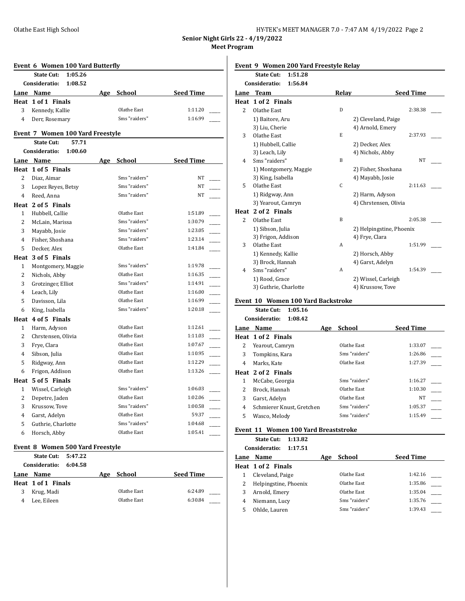| HY-TEK's MEET MANAGER 7.0 - 7:47 AM 4/19/2022 Page 2 |  |  |
|------------------------------------------------------|--|--|
|------------------------------------------------------|--|--|

**Senior Night Girls 22 - 4/19/2022 Meet Program**

|                | Event 6 Women 100 Yard Butterfly |     |                      |                  |
|----------------|----------------------------------|-----|----------------------|------------------|
|                | <b>State Cut:</b><br>1:05.26     |     |                      |                  |
|                | Consideratio:<br>1:08.52         |     |                      |                  |
|                | Lane Name                        | Age | <b>School</b> School | <b>Seed Time</b> |
|                | Heat 1 of 1 Finals               |     |                      |                  |
| 3              | Kennedy, Kallie                  |     | Olathe East          | 1:11.20          |
| $\overline{4}$ | Derr, Rosemary                   |     | Sms "raiders"        | 1:16.99          |
|                | Event 7 Women 100 Yard Freestyle |     |                      |                  |
|                | <b>State Cut:</b><br>57.71       |     |                      |                  |
|                | Consideratio:<br>1:00.60         |     |                      |                  |
|                | Lane Name                        |     | Age School Seed Time |                  |
|                | Heat 1 of 5 Finals               |     |                      |                  |
| $\overline{2}$ | Diaz, Aimar                      |     | Sms "raiders"        | NT               |
| 3              | Lopez Reyes, Betsy               |     | Sms "raiders"        | NT               |
| $\overline{4}$ | Reed, Anna                       |     | Sms "raiders"        | NT               |
|                | Heat 2 of 5 Finals               |     |                      |                  |
| $\mathbf{1}$   | Hubbell, Callie                  |     | Olathe East          | 1:51.89          |
| $\overline{2}$ | McLain, Marissa                  |     | Sms "raiders"        | 1:30.79          |
| 3              | Mayabb, Josie                    |     | Sms "raiders"        | 1:23.05          |
| $\overline{4}$ | Fisher, Shoshana                 |     | Sms "raiders"        | 1:23.14          |
| 5.             | Decker, Alex                     |     | Olathe East          | 1:41.84          |
|                | Heat 3 of 5 Finals               |     |                      |                  |
| $\mathbf{1}$   | Montgomery, Maggie               |     | Sms "raiders"        | 1:19.78          |
| $\overline{2}$ | Nichols, Abby                    |     | Olathe East          | 1:16.35          |
| 3              | Grotzinger, Elliot               |     | Sms "raiders"        | 1:14.91          |
| $\overline{4}$ | Leach, Lily                      |     | Olathe East          | 1:16.00          |
| 5              | Davisson, Lila                   |     | Olathe East          | 1:16.99          |
| 6              | King, Isabella                   |     | Sms "raiders"        | 1:20.18          |
|                | Heat 4 of 5 Finals               |     |                      |                  |
| $\mathbf{1}$   | Harm, Adyson                     |     | Olathe East          | 1:12.61          |
| $\overline{2}$ | Chrstensen, Olivia               |     | Olathe East          | 1:11.03          |
| 3              | Frye, Clara                      |     | Olathe East          | 1:07.67          |
| $\overline{4}$ | Sibson, Julia                    |     | Olathe East          | 1:10.95          |
| 5              | Ridgway, Ann                     |     | Olathe East          | 1:12.29          |
| 6              | Frigon, Addison                  |     | Olathe East          | 1:13.26          |
|                | Heat 5 of 5 Finals               |     |                      |                  |
| $\mathbf{1}$   | Wissel, Carleigh                 |     | Sms "raiders"        | 1:06.03          |
| $\overline{2}$ | Depetre, Jaden                   |     | Olathe East          | 1:02.06          |
| 3              | Krussow, Tove                    |     | Sms "raiders"        | 1:00.58          |
| 4              | Garst, Adelyn                    |     | Olathe East          | 59.37            |
| 5              | Guthrie, Charlotte               |     | Sms "raiders"        | 1:04.68          |
| 6              | Horsch, Abby                     |     | Olathe East          | 1:05.41          |

## **Event 8 Women 500 Yard Freestyle**

|      | State Cut: 5:47.22 |         |     |             |                  |  |
|------|--------------------|---------|-----|-------------|------------------|--|
|      | Consideratio:      | 6:04.58 |     |             |                  |  |
| Lane | Name               |         | Age | School      | <b>Seed Time</b> |  |
|      | Heat 1 of 1 Finals |         |     |             |                  |  |
| 3    | Krug, Madi         |         |     | Olathe East | 6:24.89          |  |
| 4    | Lee, Eileen        |         |     | Olathe East | 6:30.84          |  |

### **Event 9 Women 200 Yard Freestyle Relay**

|                | <b>State Cut:</b><br>1:51.28 |       |                          |
|----------------|------------------------------|-------|--------------------------|
|                | Consideratio:<br>1:56.84     |       |                          |
| Lane           | <b>Team</b>                  | Relay | <b>Seed Time</b>         |
|                | Heat 1 of 2 Finals           |       |                          |
| 2              | Olathe East                  | D     | 2:38.38                  |
|                | 1) Baitore, Aru              |       | 2) Cleveland, Paige      |
|                | 3) Liu, Cherie               |       | 4) Arnold, Emery         |
| 3              | Olathe East                  | E.    | 2:37.93                  |
|                | 1) Hubbell, Callie           |       | 2) Decker, Alex          |
|                | 3) Leach, Lily               |       | 4) Nichols, Abby         |
| 4              | Sms "raiders"                | B     | NT                       |
|                | 1) Montgomery, Maggie        |       | 2) Fisher, Shoshana      |
|                | 3) King, Isabella            |       | 4) Mayabb, Josie         |
| 5              | Olathe East                  | C     | 2:11.63                  |
|                | 1) Ridgway, Ann              |       | 2) Harm, Adyson          |
|                | 3) Yearout, Camryn           |       | 4) Chrstensen, Olivia    |
|                | Heat 2 of 2 Finals           |       |                          |
| $\overline{c}$ | Olathe East                  | B     | 2:05.38                  |
|                | 1) Sibson, Julia             |       | 2) Helpingstine, Phoenix |
|                | 3) Frigon, Addison           |       | 4) Frye, Clara           |
| 3              | Olathe East                  | A     | 1:51.99                  |
|                | 1) Kennedy, Kallie           |       | 2) Horsch, Abby          |
|                | 3) Brock, Hannah             |       | 4) Garst, Adelyn         |
| 4              | Sms "raiders"                | A     | 1:54.39                  |
|                | 1) Rood, Grace               |       | 2) Wissel, Carleigh      |
|                | 3) Guthrie, Charlotte        |       | 4) Krussow, Tove         |
|                |                              |       |                          |

### **Event 10 Women 100 Yard Backstroke**

**State Cut: 1:05.16 Consideratio: 1:08.42**

|      | GUILSIUCI ALIU.<br>1.VO.TZ |     |               |                  |
|------|----------------------------|-----|---------------|------------------|
| Lane | Name                       | Age | School        | <b>Seed Time</b> |
|      | Heat 1 of 2 Finals         |     |               |                  |
| 2    | Yearout, Camryn            |     | Olathe East   | 1:33.07          |
| 3    | Tompkins, Kara             |     | Sms "raiders" | 1:26.86          |
| 4    | Marks, Kate                |     | Olathe East   | 1:27.39          |
|      | Heat 2 of 2 Finals         |     |               |                  |
| 1    | McCabe, Georgia            |     | Sms "raiders" | 1:16.27          |
| 2    | Brock, Hannah              |     | Olathe East   | 1:10.30          |
| 3    | Garst, Adelyn              |     | Olathe East   | NT               |
| 4    | Schmierer Knust. Gretchen  |     | Sms "raiders" | 1:05.37          |
| 5    | Wasco, Melody              |     | Sms "raiders" | 1:15.49          |
|      |                            |     |               |                  |

# **Event 11 Women 100 Yard Breaststroke**

**State Cut: 1:13.82**

|   | Consideratio:<br>1:17.51 |     |               |                  |
|---|--------------------------|-----|---------------|------------------|
|   | Lane Name                | Age | School        | <b>Seed Time</b> |
|   | Heat 1 of 2 Finals       |     |               |                  |
|   | Cleveland, Paige         |     | Olathe East   | 1:42.16          |
|   | Helpingstine, Phoenix    |     | Olathe East   | 1:35.86          |
|   | Arnold, Emery            |     | Olathe East   | 1:35.04          |
| 4 | Niemann, Lucy            |     | Sms "raiders" | 1:35.76          |
|   | Ohlde, Lauren            |     | Sms "raiders" | 1:39.43          |
|   |                          |     |               |                  |